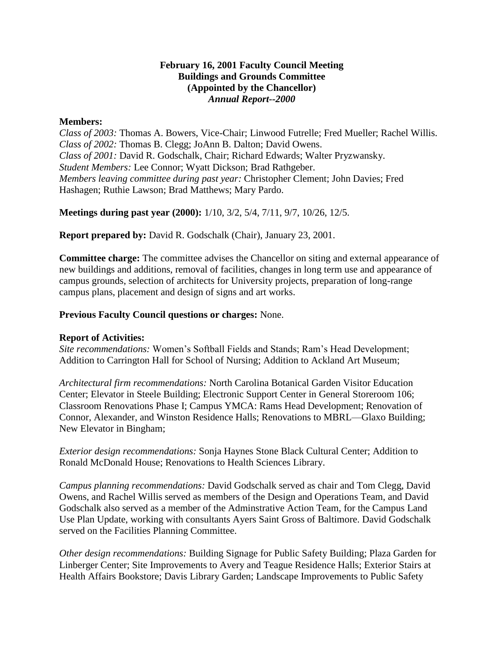### **February 16, 2001 Faculty Council Meeting Buildings and Grounds Committee (Appointed by the Chancellor)** *Annual Report--2000*

### **Members:**

*Class of 2003:* Thomas A. Bowers, Vice-Chair; Linwood Futrelle; Fred Mueller; Rachel Willis. *Class of 2002:* Thomas B. Clegg; JoAnn B. Dalton; David Owens. *Class of 2001:* David R. Godschalk, Chair; Richard Edwards; Walter Pryzwansky. *Student Members:* Lee Connor; Wyatt Dickson; Brad Rathgeber. *Members leaving committee during past year:* Christopher Clement; John Davies; Fred Hashagen; Ruthie Lawson; Brad Matthews; Mary Pardo.

**Meetings during past year (2000):** 1/10, 3/2, 5/4, 7/11, 9/7, 10/26, 12/5.

**Report prepared by:** David R. Godschalk (Chair), January 23, 2001.

**Committee charge:** The committee advises the Chancellor on siting and external appearance of new buildings and additions, removal of facilities, changes in long term use and appearance of campus grounds, selection of architects for University projects, preparation of long-range campus plans, placement and design of signs and art works.

# **Previous Faculty Council questions or charges:** None.

### **Report of Activities:**

*Site recommendations:* Women's Softball Fields and Stands; Ram's Head Development; Addition to Carrington Hall for School of Nursing; Addition to Ackland Art Museum;

*Architectural firm recommendations:* North Carolina Botanical Garden Visitor Education Center; Elevator in Steele Building; Electronic Support Center in General Storeroom 106; Classroom Renovations Phase I; Campus YMCA: Rams Head Development; Renovation of Connor, Alexander, and Winston Residence Halls; Renovations to MBRL—Glaxo Building; New Elevator in Bingham;

*Exterior design recommendations:* Sonja Haynes Stone Black Cultural Center; Addition to Ronald McDonald House; Renovations to Health Sciences Library.

*Campus planning recommendations:* David Godschalk served as chair and Tom Clegg, David Owens, and Rachel Willis served as members of the Design and Operations Team, and David Godschalk also served as a member of the Adminstrative Action Team, for the Campus Land Use Plan Update, working with consultants Ayers Saint Gross of Baltimore. David Godschalk served on the Facilities Planning Committee.

*Other design recommendations:* Building Signage for Public Safety Building; Plaza Garden for Linberger Center; Site Improvements to Avery and Teague Residence Halls; Exterior Stairs at Health Affairs Bookstore; Davis Library Garden; Landscape Improvements to Public Safety